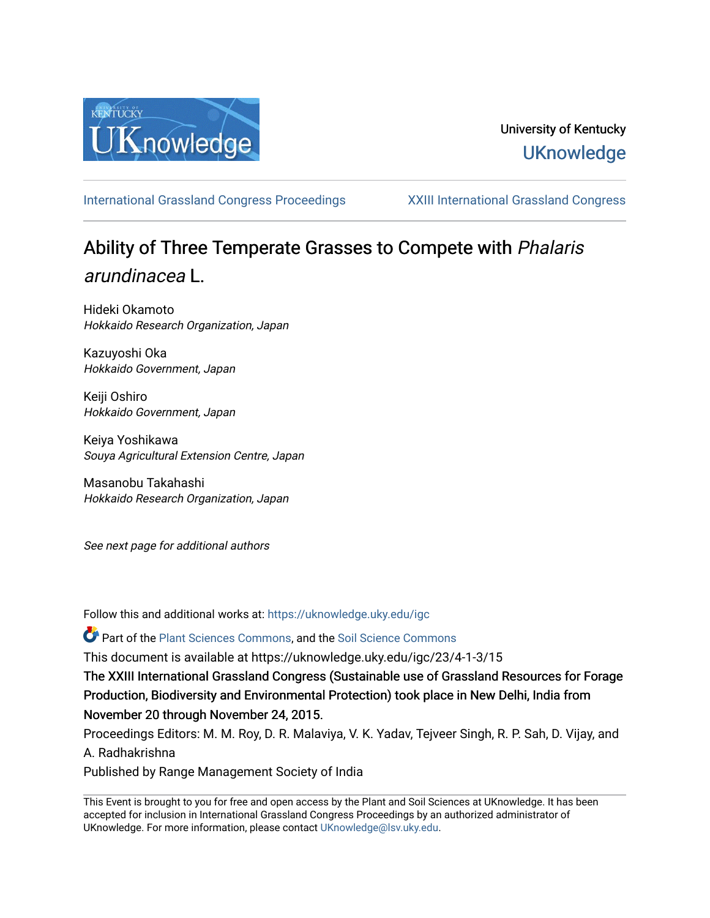

## University of Kentucky **UKnowledge**

[International Grassland Congress Proceedings](https://uknowledge.uky.edu/igc) [XXIII International Grassland Congress](https://uknowledge.uky.edu/igc/23) 

# Ability of Three Temperate Grasses to Compete with *Phalaris* arundinacea L.

Hideki Okamoto Hokkaido Research Organization, Japan

Kazuyoshi Oka Hokkaido Government, Japan

Keiji Oshiro Hokkaido Government, Japan

Keiya Yoshikawa Souya Agricultural Extension Centre, Japan

Masanobu Takahashi Hokkaido Research Organization, Japan

See next page for additional authors

Follow this and additional works at: [https://uknowledge.uky.edu/igc](https://uknowledge.uky.edu/igc?utm_source=uknowledge.uky.edu%2Figc%2F23%2F4-1-3%2F15&utm_medium=PDF&utm_campaign=PDFCoverPages) 

Part of the [Plant Sciences Commons](http://network.bepress.com/hgg/discipline/102?utm_source=uknowledge.uky.edu%2Figc%2F23%2F4-1-3%2F15&utm_medium=PDF&utm_campaign=PDFCoverPages), and the [Soil Science Commons](http://network.bepress.com/hgg/discipline/163?utm_source=uknowledge.uky.edu%2Figc%2F23%2F4-1-3%2F15&utm_medium=PDF&utm_campaign=PDFCoverPages) 

This document is available at https://uknowledge.uky.edu/igc/23/4-1-3/15

The XXIII International Grassland Congress (Sustainable use of Grassland Resources for Forage Production, Biodiversity and Environmental Protection) took place in New Delhi, India from November 20 through November 24, 2015.

Proceedings Editors: M. M. Roy, D. R. Malaviya, V. K. Yadav, Tejveer Singh, R. P. Sah, D. Vijay, and A. Radhakrishna

Published by Range Management Society of India

This Event is brought to you for free and open access by the Plant and Soil Sciences at UKnowledge. It has been accepted for inclusion in International Grassland Congress Proceedings by an authorized administrator of UKnowledge. For more information, please contact [UKnowledge@lsv.uky.edu](mailto:UKnowledge@lsv.uky.edu).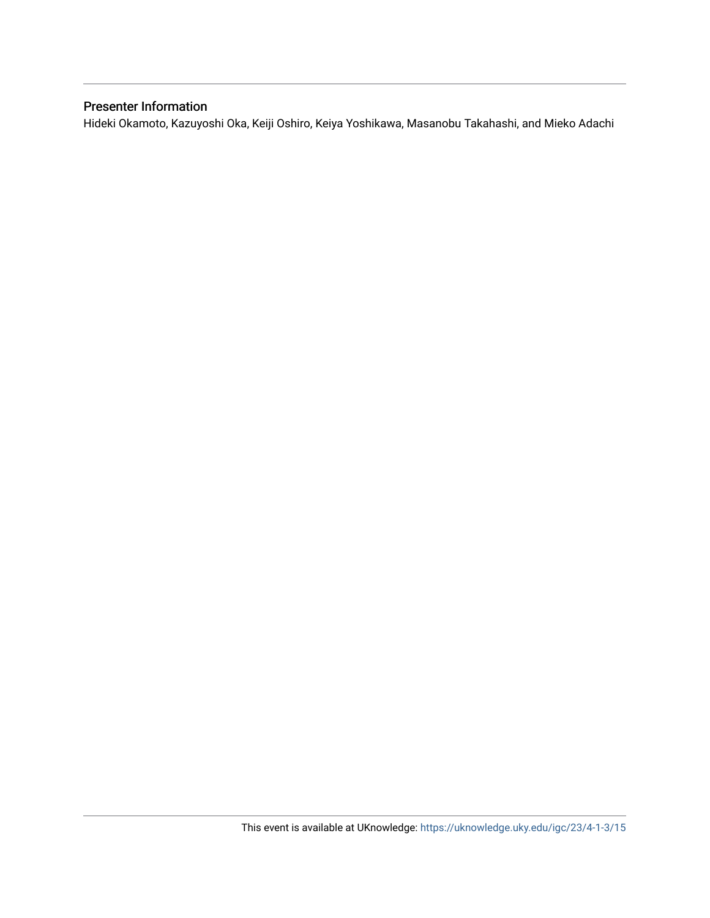### Presenter Information

Hideki Okamoto, Kazuyoshi Oka, Keiji Oshiro, Keiya Yoshikawa, Masanobu Takahashi, and Mieko Adachi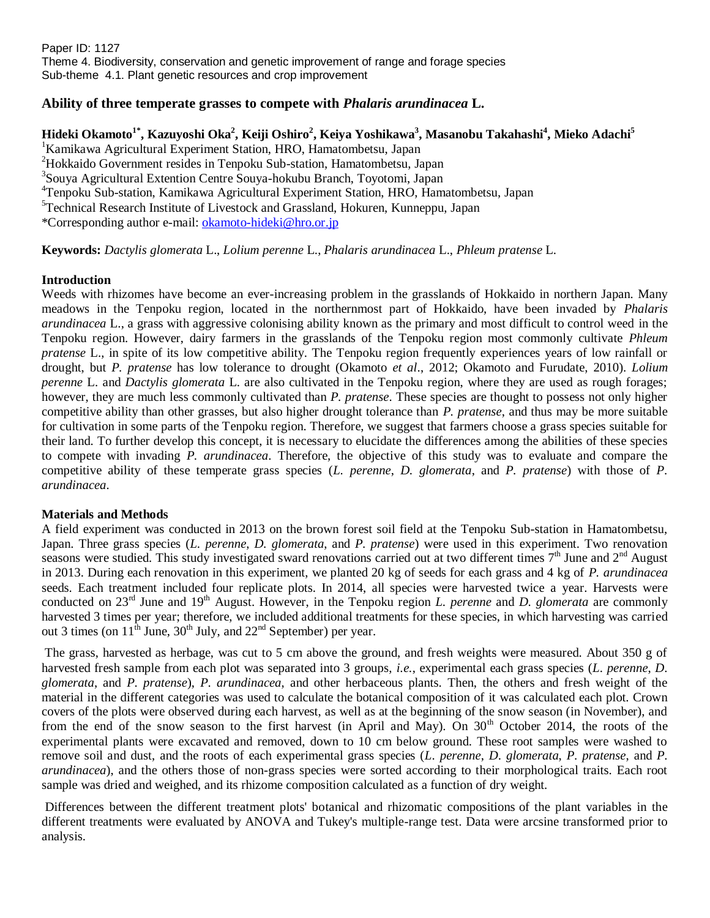Paper ID: 1127 Theme 4. Biodiversity, conservation and genetic improvement of range and forage species Sub-theme 4.1. Plant genetic resources and crop improvement

#### **Ability of three temperate grasses to compete with** *Phalaris arundinacea* **L.**

**Hideki Okamoto1\* , Kazuyoshi Oka<sup>2</sup> , Keiji Oshiro<sup>2</sup> , Keiya Yoshikawa<sup>3</sup> , Masanobu Takahashi<sup>4</sup> , Mieko Adachi<sup>5</sup>** <sup>1</sup>Kamikawa Agricultural Experiment Station, HRO, Hamatombetsu, Japan <sup>2</sup>Hokkaido Government resides in Tenpoku Sub-station, Hamatombetsu, Japan 3 Souya Agricultural Extention Centre Souya-hokubu Branch, Toyotomi, Japan <sup>4</sup>Tenpoku Sub-station, Kamikawa Agricultural Experiment Station, HRO, Hamatombetsu, Japan <sup>5</sup>Technical Research Institute of Livestock and Grassland, Hokuren, Kunneppu, Japan \*Corresponding author e-mail: [okamoto-hideki@hro.or.jp](mailto:okamoto-hideki@hro.or.jp)

**Keywords:** *Dactylis glomerata* L., *Lolium perenne* L., *Phalaris arundinacea* L., *Phleum pratense* L.

#### **Introduction**

Weeds with rhizomes have become an ever-increasing problem in the grasslands of Hokkaido in northern Japan. Many meadows in the Tenpoku region, located in the northernmost part of Hokkaido, have been invaded by *Phalaris arundinacea* L., a grass with aggressive colonising ability known as the primary and most difficult to control weed in the Tenpoku region. However, dairy farmers in the grasslands of the Tenpoku region most commonly cultivate *Phleum pratense* L., in spite of its low competitive ability. The Tenpoku region frequently experiences years of low rainfall or drought, but *P. pratense* has low tolerance to drought (Okamoto *et al*., 2012; Okamoto and Furudate, 2010). *Lolium perenne* L. and *Dactylis glomerata* L. are also cultivated in the Tenpoku region, where they are used as rough forages; however, they are much less commonly cultivated than *P. pratense*. These species are thought to possess not only higher competitive ability than other grasses, but also higher drought tolerance than *P. pratense*, and thus may be more suitable for cultivation in some parts of the Tenpoku region. Therefore, we suggest that farmers choose a grass species suitable for their land. To further develop this concept, it is necessary to elucidate the differences among the abilities of these species to compete with invading *P. arundinacea*. Therefore, the objective of this study was to evaluate and compare the competitive ability of these temperate grass species (*L. perenne*, *D. glomerata*, and *P. pratense*) with those of *P. arundinacea*.

#### **Materials and Methods**

A field experiment was conducted in 2013 on the brown forest soil field at the Tenpoku Sub-station in Hamatombetsu, Japan. Three grass species (*L. perenne*, *D. glomerata*, and *P. pratense*) were used in this experiment. Two renovation seasons were studied. This study investigated sward renovations carried out at two different times  $7<sup>th</sup>$  June and  $2<sup>nd</sup>$  August in 2013. During each renovation in this experiment, we planted 20 kg of seeds for each grass and 4 kg of *P. arundinacea* seeds. Each treatment included four replicate plots. In 2014, all species were harvested twice a year. Harvests were conducted on 23rd June and 19th August. However, in the Tenpoku region *L. perenne* and *D. glomerata* are commonly harvested 3 times per year; therefore, we included additional treatments for these species, in which harvesting was carried out 3 times (on  $11<sup>th</sup>$  June,  $30<sup>th</sup>$  July, and  $22<sup>nd</sup>$  September) per year.

The grass, harvested as herbage, was cut to 5 cm above the ground, and fresh weights were measured. About 350 g of harvested fresh sample from each plot was separated into 3 groups, *i.e.*, experimental each grass species (*L*. *perenne*, *D*. *glomerata*, and *P*. *pratense*), *P*. *arundinacea*, and other herbaceous plants. Then, the others and fresh weight of the material in the different categories was used to calculate the botanical composition of it was calculated each plot. Crown covers of the plots were observed during each harvest, as well as at the beginning of the snow season (in November), and from the end of the snow season to the first harvest (in April and May). On  $30<sup>th</sup>$  October 2014, the roots of the experimental plants were excavated and removed, down to 10 cm below ground. These root samples were washed to remove soil and dust, and the roots of each experimental grass species (*L*. *perenne*, *D*. *glomerata*, *P*. *pratense*, and *P*. *arundinacea*), and the others those of non-grass species were sorted according to their morphological traits. Each root sample was dried and weighed, and its rhizome composition calculated as a function of dry weight.

Differences between the different treatment plots' botanical and rhizomatic compositions of the plant variables in the different treatments were evaluated by ANOVA and Tukey's multiple-range test. Data were arcsine transformed prior to analysis.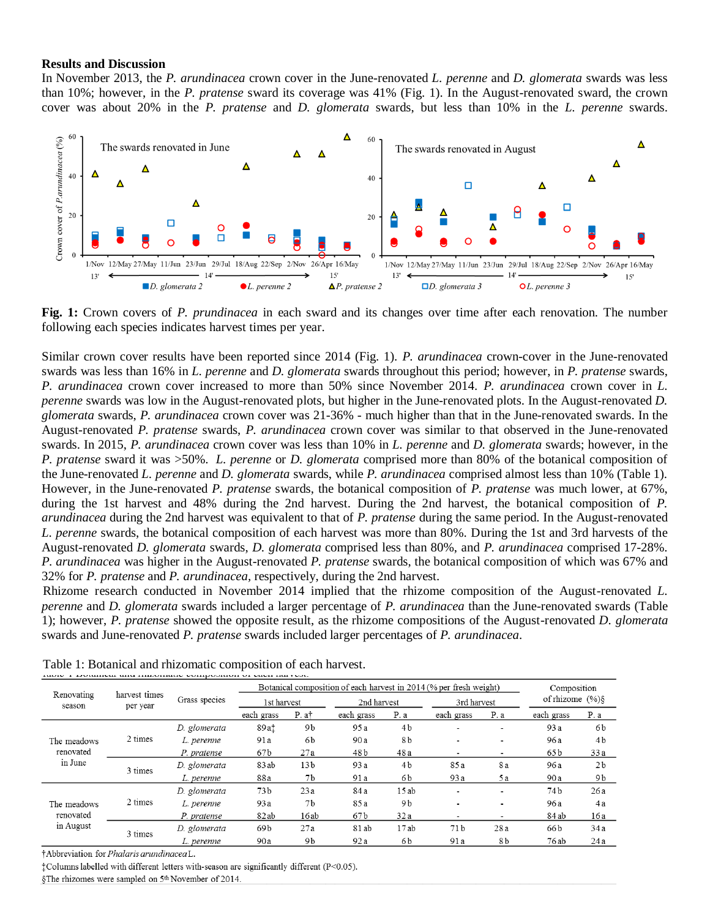#### **Results and Discussion**

In November 2013, the *P. arundinacea* crown cover in the June-renovated *L. perenne* and *D. glomerata* swards was less than 10%; however, in the *P. pratense* sward its coverage was 41% (Fig. 1). In the August-renovated sward, the crown cover was about 20% in the *P. pratense* and *D. glomerata* swards, but less than 10% in the *L. perenne* swards.



**Fig. 1:** Crown covers of *P. prundinacea* in each sward and its changes over time after each renovation. The number following each species indicates harvest times per year.

Similar crown cover results have been reported since 2014 (Fig. 1). *P. arundinacea* crown-cover in the June-renovated swards was less than 16% in *L. perenne* and *D. glomerata* swards throughout this period; however, in *P. pratense* swards, *P. arundinacea* crown cover increased to more than 50% since November 2014. *P. arundinacea* crown cover in *L. perenne* swards was low in the August-renovated plots, but higher in the June-renovated plots. In the August-renovated *D. glomerata* swards, *P. arundinacea* crown cover was 21-36% - much higher than that in the June-renovated swards. In the August-renovated *P. pratense* swards, *P. arundinacea* crown cover was similar to that observed in the June-renovated swards. In 2015, *P. arundinacea* crown cover was less than 10% in *L. perenne* and *D. glomerata* swards; however, in the *P. pratense* sward it was >50%. *L. perenne* or *D. glomerata* comprised more than 80% of the botanical composition of the June-renovated *L. perenne* and *D. glomerata* swards, while *P. arundinacea* comprised almost less than 10% (Table 1). However, in the June-renovated *P. pratense* swards, the botanical composition of *P. pratense* was much lower, at 67%, during the 1st harvest and 48% during the 2nd harvest. During the 2nd harvest, the botanical composition of *P*. *arundinacea* during the 2nd harvest was equivalent to that of *P. pratense* during the same period. In the August-renovated *L. perenne* swards, the botanical composition of each harvest was more than 80%. During the 1st and 3rd harvests of the August-renovated *D. glomerata* swards, *D. glomerata* comprised less than 80%, and *P. arundinacea* comprised 17-28%. *P. arundinacea* was higher in the August-renovated *P. pratense* swards, the botanical composition of which was 67% and 32% for *P. pratense* and *P. arundinacea,* respectively, during the 2nd harvest.

Rhizome research conducted in November 2014 implied that the rhizome composition of the August-renovated *L. perenne* and *D. glomerata* swards included a larger percentage of *P. arundinacea* than the June-renovated swards (Table 1); however, *P. pratense* showed the opposite result, as the rhizome compositions of the August-renovated *D. glomerata* swards and June-renovated *P. pratense* swards included larger percentages of *P. arundinacea*.

| Renovating<br>season                  | harvest times<br>per year | Grass species | Botanical composition of each harvest in 2014 (% per fresh weight) |                   |             |                |                          |                          | Composition        |                |
|---------------------------------------|---------------------------|---------------|--------------------------------------------------------------------|-------------------|-------------|----------------|--------------------------|--------------------------|--------------------|----------------|
|                                       |                           |               | 1st harvest                                                        |                   | 2nd harvest |                | 3rd harvest              |                          | of rhizome $(\%)\$ |                |
|                                       |                           |               | each grass                                                         | P. a <sup>†</sup> | each grass  | P. a           | each grass               | P. a                     | each grass         | P. a           |
| The meadows<br>renovated<br>in June   | 2 times                   | D. glomerata  | 89at                                                               | 9b                | 95a         | 4 <sub>b</sub> | $\overline{\phantom{a}}$ | $\overline{\phantom{a}}$ | 93 a               | 6b             |
|                                       |                           | L. perenne    | 91a                                                                | 6b                | 90 a        | 8b             |                          |                          | 96 a               | 4 <sub>b</sub> |
|                                       |                           | P. pratense   | 67b                                                                | 27a               | 48 b        | 48 a           | $\overline{\phantom{0}}$ | -                        | 65 b               | 33a            |
|                                       | 3 times                   | D. glomerata  | 83 ab                                                              | 13 <sub>b</sub>   | 93 a        | 4 <sub>b</sub> | 85 a                     | 8 a                      | 96 a               | 2 <sub>b</sub> |
|                                       |                           | L. perenne    | 88a                                                                | 7b                | 91 a        | 6b             | 93a                      | 5a                       | 90 a               | 9 b            |
| The meadows<br>renovated<br>in August | 2 times                   | D. glomerata  | 73 <sub>b</sub>                                                    | 23a               | 84 a        | 15ab           | $\overline{\phantom{0}}$ | $\overline{\phantom{0}}$ | 74 b               | 26a            |
|                                       |                           | L. perenne    | 93 a                                                               | 7 <sub>b</sub>    | 85 a        | 9b             |                          |                          | 96 a               | 4a             |
|                                       |                           | P. pratense   | 82ab                                                               | 16ab              | 67 b        | 32a            |                          |                          | 84 ab              | 16 a           |
|                                       | 3 times                   | D. glomerata  | 69b                                                                | 27a               | 81 ab       | 17ab           | 71 b                     | 28 a                     | 66 b               | 34a            |
|                                       |                           | L. perenne    | 90a                                                                | 9b                | 92 a        | 6b             | 91 a                     | 8b                       | 76 ab              | 24a            |

Table 1: Botanical and rhizomatic composition of each harvest.

†Abbreviation for Phalaris arundinaceaL.

<sup>†</sup>Columns labelled with different letters with-season are significantly different (P<0.05).

§The rhizomes were sampled on 5<sup>th</sup> November of 2014.